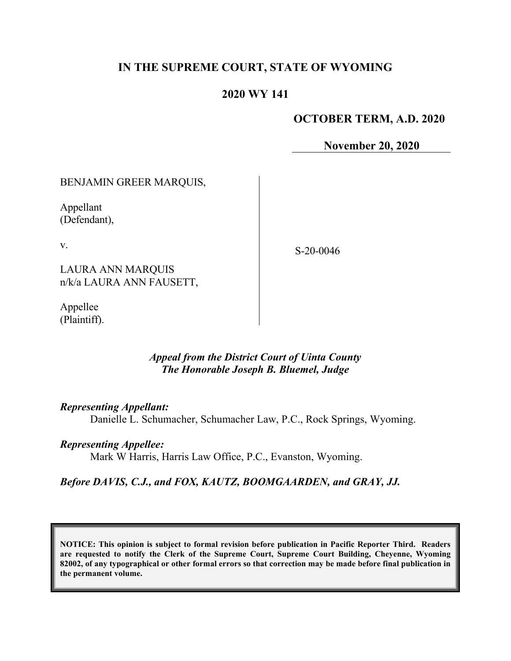### **IN THE SUPREME COURT, STATE OF WYOMING**

### **2020 WY 141**

### **OCTOBER TERM, A.D. 2020**

**November 20, 2020**

#### BENJAMIN GREER MARQUIS,

Appellant (Defendant),

v.

S-20-0046

LAURA ANN MARQUIS n/k/a LAURA ANN FAUSETT,

Appellee (Plaintiff).

### *Appeal from the District Court of Uinta County The Honorable Joseph B. Bluemel, Judge*

#### *Representing Appellant:*

Danielle L. Schumacher, Schumacher Law, P.C., Rock Springs, Wyoming.

#### *Representing Appellee:*

Mark W Harris, Harris Law Office, P.C., Evanston, Wyoming.

### *Before DAVIS, C.J., and FOX, KAUTZ, BOOMGAARDEN, and GRAY, JJ.*

**NOTICE: This opinion is subject to formal revision before publication in Pacific Reporter Third. Readers are requested to notify the Clerk of the Supreme Court, Supreme Court Building, Cheyenne, Wyoming 82002, of any typographical or other formal errors so that correction may be made before final publication in the permanent volume.**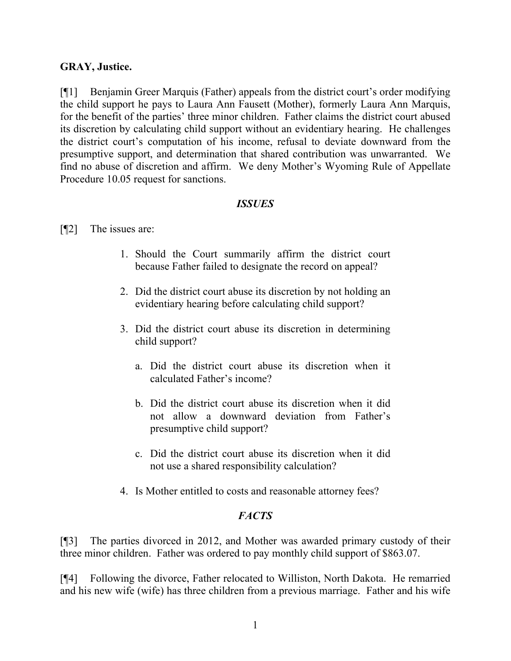### **GRAY, Justice.**

[¶1] Benjamin Greer Marquis (Father) appeals from the district court's order modifying the child support he pays to Laura Ann Fausett (Mother), formerly Laura Ann Marquis, for the benefit of the parties' three minor children. Father claims the district court abused its discretion by calculating child support without an evidentiary hearing. He challenges the district court's computation of his income, refusal to deviate downward from the presumptive support, and determination that shared contribution was unwarranted. We find no abuse of discretion and affirm. We deny Mother's Wyoming Rule of Appellate Procedure 10.05 request for sanctions.

### *ISSUES*

### [¶2] The issues are:

- 1. Should the Court summarily affirm the district court because Father failed to designate the record on appeal?
- 2. Did the district court abuse its discretion by not holding an evidentiary hearing before calculating child support?
- 3. Did the district court abuse its discretion in determining child support?
	- a. Did the district court abuse its discretion when it calculated Father's income?
	- b. Did the district court abuse its discretion when it did not allow a downward deviation from Father's presumptive child support?
	- c. Did the district court abuse its discretion when it did not use a shared responsibility calculation?
- 4. Is Mother entitled to costs and reasonable attorney fees?

# *FACTS*

[¶3] The parties divorced in 2012, and Mother was awarded primary custody of their three minor children. Father was ordered to pay monthly child support of \$863.07.

[¶4] Following the divorce, Father relocated to Williston, North Dakota. He remarried and his new wife (wife) has three children from a previous marriage. Father and his wife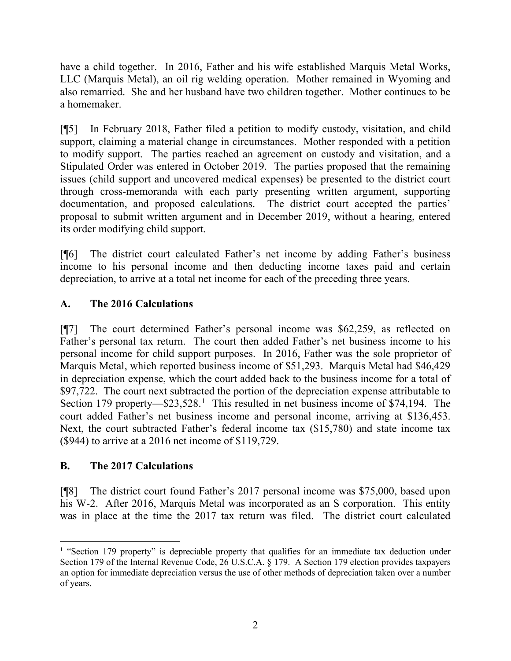have a child together. In 2016, Father and his wife established Marquis Metal Works, LLC (Marquis Metal), an oil rig welding operation. Mother remained in Wyoming and also remarried. She and her husband have two children together. Mother continues to be a homemaker.

[¶5] In February 2018, Father filed a petition to modify custody, visitation, and child support, claiming a material change in circumstances. Mother responded with a petition to modify support. The parties reached an agreement on custody and visitation, and a Stipulated Order was entered in October 2019. The parties proposed that the remaining issues (child support and uncovered medical expenses) be presented to the district court through cross-memoranda with each party presenting written argument, supporting documentation, and proposed calculations. The district court accepted the parties' proposal to submit written argument and in December 2019, without a hearing, entered its order modifying child support.

[¶6] The district court calculated Father's net income by adding Father's business income to his personal income and then deducting income taxes paid and certain depreciation, to arrive at a total net income for each of the preceding three years.

# **A. The 2016 Calculations**

[¶7] The court determined Father's personal income was \$62,259, as reflected on Father's personal tax return. The court then added Father's net business income to his personal income for child support purposes. In 2016, Father was the sole proprietor of Marquis Metal, which reported business income of \$51,293. Marquis Metal had \$46,429 in depreciation expense, which the court added back to the business income for a total of \$97,722. The court next subtracted the portion of the depreciation expense attributable to Section [1](#page-2-0)79 property—\$23,528.<sup>1</sup> This resulted in net business income of \$74,194. The court added Father's net business income and personal income, arriving at \$136,453. Next, the court subtracted Father's federal income tax (\$15,780) and state income tax (\$944) to arrive at a 2016 net income of \$119,729.

# **B. The 2017 Calculations**

[¶8] The district court found Father's 2017 personal income was \$75,000, based upon his W-2. After 2016, Marquis Metal was incorporated as an S corporation. This entity was in place at the time the 2017 tax return was filed. The district court calculated

<span id="page-2-0"></span><sup>&</sup>lt;sup>1</sup> "Section 179 property" is depreciable property that qualifies for an immediate tax deduction under Section 179 of the Internal Revenue Code, 26 U.S.C.A. § 179. A Section 179 election provides taxpayers an option for immediate depreciation versus the use of other methods of depreciation taken over a number of years.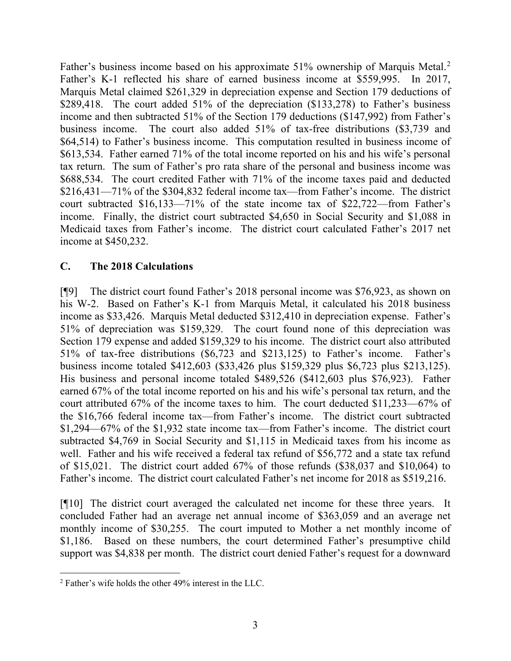Father's business income based on his approximate 51% ownership of Marquis Metal.<sup>[2](#page-3-0)</sup> Father's K-1 reflected his share of earned business income at \$559,995. In 2017, Marquis Metal claimed \$261,329 in depreciation expense and Section 179 deductions of \$289,418. The court added 51% of the depreciation (\$133,278) to Father's business income and then subtracted 51% of the Section 179 deductions (\$147,992) from Father's business income. The court also added 51% of tax-free distributions (\$3,739 and \$64,514) to Father's business income. This computation resulted in business income of \$613,534. Father earned 71% of the total income reported on his and his wife's personal tax return. The sum of Father's pro rata share of the personal and business income was \$688,534. The court credited Father with 71% of the income taxes paid and deducted \$216,431—71% of the \$304,832 federal income tax—from Father's income. The district court subtracted \$16,133—71% of the state income tax of \$22,722—from Father's income. Finally, the district court subtracted \$4,650 in Social Security and \$1,088 in Medicaid taxes from Father's income. The district court calculated Father's 2017 net income at \$450,232.

### **C. The 2018 Calculations**

[¶9] The district court found Father's 2018 personal income was \$76,923, as shown on his W-2. Based on Father's K-1 from Marquis Metal, it calculated his 2018 business income as \$33,426. Marquis Metal deducted \$312,410 in depreciation expense. Father's 51% of depreciation was \$159,329. The court found none of this depreciation was Section 179 expense and added \$159,329 to his income. The district court also attributed 51% of tax-free distributions (\$6,723 and \$213,125) to Father's income. Father's business income totaled \$412,603 (\$33,426 plus \$159,329 plus \$6,723 plus \$213,125). His business and personal income totaled \$489,526 (\$412,603 plus \$76,923). Father earned 67% of the total income reported on his and his wife's personal tax return, and the court attributed 67% of the income taxes to him. The court deducted \$11,233—67% of the \$16,766 federal income tax—from Father's income. The district court subtracted \$1,294—67% of the \$1,932 state income tax—from Father's income. The district court subtracted \$4,769 in Social Security and \$1,115 in Medicaid taxes from his income as well. Father and his wife received a federal tax refund of \$56,772 and a state tax refund of \$15,021. The district court added 67% of those refunds (\$38,037 and \$10,064) to Father's income. The district court calculated Father's net income for 2018 as \$519,216.

[¶10] The district court averaged the calculated net income for these three years. It concluded Father had an average net annual income of \$363,059 and an average net monthly income of \$30,255. The court imputed to Mother a net monthly income of \$1,186. Based on these numbers, the court determined Father's presumptive child support was \$4,838 per month. The district court denied Father's request for a downward

<span id="page-3-0"></span><sup>2</sup> Father's wife holds the other 49% interest in the LLC.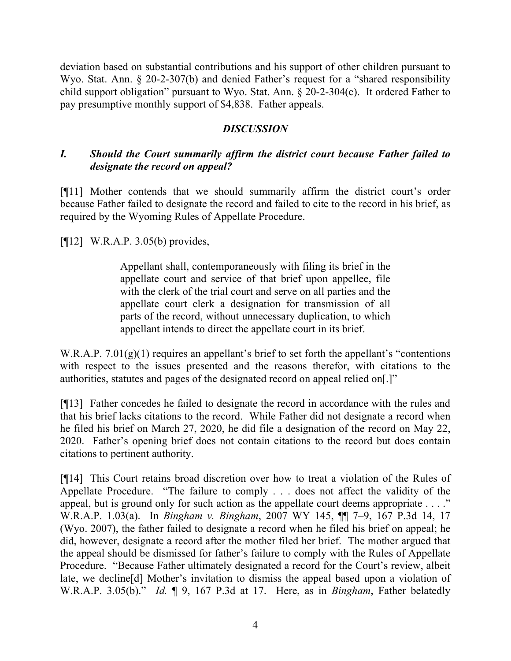deviation based on substantial contributions and his support of other children pursuant to Wyo. Stat. Ann. § 20-2-307(b) and denied Father's request for a "shared responsibility child support obligation" pursuant to Wyo. Stat. Ann. § 20-2-304(c). It ordered Father to pay presumptive monthly support of \$4,838. Father appeals.

### *DISCUSSION*

# *I. Should the Court summarily affirm the district court because Father failed to designate the record on appeal?*

[¶11] Mother contends that we should summarily affirm the district court's order because Father failed to designate the record and failed to cite to the record in his brief, as required by the Wyoming Rules of Appellate Procedure.

[¶12] W.R.A.P. 3.05(b) provides,

Appellant shall, contemporaneously with filing its brief in the appellate court and service of that brief upon appellee, file with the clerk of the trial court and serve on all parties and the appellate court clerk a designation for transmission of all parts of the record, without unnecessary duplication, to which appellant intends to direct the appellate court in its brief.

W.R.A.P. 7.01(g)(1) requires an appellant's brief to set forth the appellant's "contentions" with respect to the issues presented and the reasons therefor, with citations to the authorities, statutes and pages of the designated record on appeal relied on[.]"

[¶13] Father concedes he failed to designate the record in accordance with the rules and that his brief lacks citations to the record. While Father did not designate a record when he filed his brief on March 27, 2020, he did file a designation of the record on May 22, 2020. Father's opening brief does not contain citations to the record but does contain citations to pertinent authority.

[¶14] This Court retains broad discretion over how to treat a violation of the Rules of Appellate Procedure. "The failure to comply . . . does not affect the validity of the appeal, but is ground only for such action as the appellate court deems appropriate . . . ." W.R.A.P. 1.03(a). In *Bingham v. Bingham*, 2007 WY 145, ¶¶ 7–9, 167 P.3d 14, 17 (Wyo. 2007), the father failed to designate a record when he filed his brief on appeal; he did, however, designate a record after the mother filed her brief. The mother argued that the appeal should be dismissed for father's failure to comply with the Rules of Appellate Procedure. "Because Father ultimately designated a record for the Court's review, albeit late, we decline[d] Mother's invitation to dismiss the appeal based upon a violation of W.R.A.P. 3.05(b)." *Id.* ¶ 9, 167 P.3d at 17. Here, as in *Bingham*, Father belatedly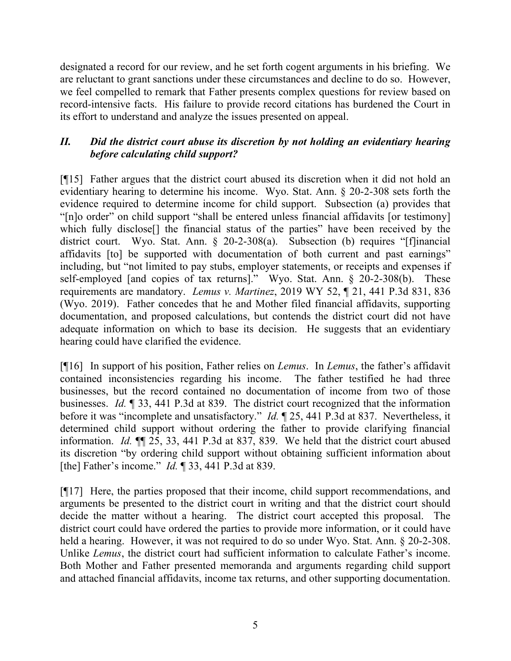designated a record for our review, and he set forth cogent arguments in his briefing. We are reluctant to grant sanctions under these circumstances and decline to do so. However, we feel compelled to remark that Father presents complex questions for review based on record-intensive facts. His failure to provide record citations has burdened the Court in its effort to understand and analyze the issues presented on appeal.

# *II. Did the district court abuse its discretion by not holding an evidentiary hearing before calculating child support?*

[¶15] Father argues that the district court abused its discretion when it did not hold an evidentiary hearing to determine his income. Wyo. Stat. Ann. § 20-2-308 sets forth the evidence required to determine income for child support. Subsection (a) provides that "[n]o order" on child support "shall be entered unless financial affidavits [or testimony] which fully disclose[] the financial status of the parties" have been received by the district court. Wyo. Stat. Ann. § 20-2-308(a). Subsection (b) requires "[f]inancial affidavits [to] be supported with documentation of both current and past earnings" including, but "not limited to pay stubs, employer statements, or receipts and expenses if self-employed [and copies of tax returns]." Wyo. Stat. Ann. § 20-2-308(b). These requirements are mandatory. *Lemus v. Martinez*, 2019 WY 52, ¶ 21, 441 P.3d 831, 836 (Wyo. 2019). Father concedes that he and Mother filed financial affidavits, supporting documentation, and proposed calculations, but contends the district court did not have adequate information on which to base its decision. He suggests that an evidentiary hearing could have clarified the evidence.

[¶16] In support of his position, Father relies on *Lemus*. In *Lemus*, the father's affidavit contained inconsistencies regarding his income. The father testified he had three businesses, but the record contained no documentation of income from two of those businesses. *Id.* ¶ 33, 441 P.3d at 839. The district court recognized that the information before it was "incomplete and unsatisfactory." *Id.* ¶ 25, 441 P.3d at 837. Nevertheless, it determined child support without ordering the father to provide clarifying financial information. *Id.* ¶¶ 25, 33, 441 P.3d at 837, 839. We held that the district court abused its discretion "by ordering child support without obtaining sufficient information about [the] Father's income." *Id.* ¶ 33, 441 P.3d at 839.

[¶17] Here, the parties proposed that their income, child support recommendations, and arguments be presented to the district court in writing and that the district court should decide the matter without a hearing. The district court accepted this proposal. The district court could have ordered the parties to provide more information, or it could have held a hearing. However, it was not required to do so under Wyo. Stat. Ann. § 20-2-308. Unlike *Lemus*, the district court had sufficient information to calculate Father's income. Both Mother and Father presented memoranda and arguments regarding child support and attached financial affidavits, income tax returns, and other supporting documentation.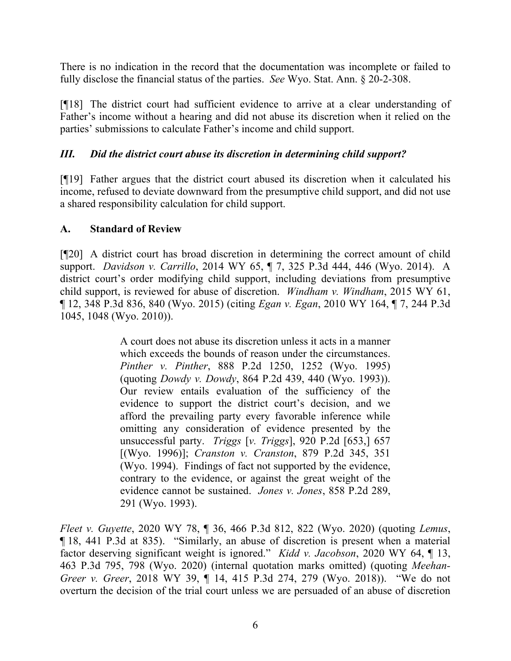There is no indication in the record that the documentation was incomplete or failed to fully disclose the financial status of the parties. *See* Wyo. Stat. Ann. § 20-2-308.

[¶18] The district court had sufficient evidence to arrive at a clear understanding of Father's income without a hearing and did not abuse its discretion when it relied on the parties' submissions to calculate Father's income and child support.

# *III. Did the district court abuse its discretion in determining child support?*

[¶19] Father argues that the district court abused its discretion when it calculated his income, refused to deviate downward from the presumptive child support, and did not use a shared responsibility calculation for child support.

### **A. Standard of Review**

[¶20] A district court has broad discretion in determining the correct amount of child support. *Davidson v. Carrillo*, 2014 WY 65, ¶ 7, 325 P.3d 444, 446 (Wyo. 2014). A district court's order modifying child support, including deviations from presumptive child support, is reviewed for abuse of discretion. *Windham v. Windham*, 2015 WY 61, ¶ 12, 348 P.3d 836, 840 (Wyo. 2015) (citing *Egan v. Egan*, 2010 WY 164, ¶ 7, 244 P.3d 1045, 1048 (Wyo. 2010)).

> A court does not abuse its discretion unless it acts in a manner which exceeds the bounds of reason under the circumstances. *Pinther v. Pinther*, 888 P.2d 1250, 1252 (Wyo. 1995) (quoting *Dowdy v. Dowdy*, 864 P.2d 439, 440 (Wyo. 1993)). Our review entails evaluation of the sufficiency of the evidence to support the district court's decision, and we afford the prevailing party every favorable inference while omitting any consideration of evidence presented by the unsuccessful party. *Triggs* [*v. Triggs*], 920 P.2d [653,] 657 [(Wyo. 1996)]; *Cranston v. Cranston*, 879 P.2d 345, 351 (Wyo. 1994). Findings of fact not supported by the evidence, contrary to the evidence, or against the great weight of the evidence cannot be sustained. *Jones v. Jones*, 858 P.2d 289, 291 (Wyo. 1993).

*Fleet v. Guyette*, 2020 WY 78, ¶ 36, 466 P.3d 812, 822 (Wyo. 2020) (quoting *Lemus*, ¶ 18, 441 P.3d at 835). "Similarly, an abuse of discretion is present when a material factor deserving significant weight is ignored." *Kidd v. Jacobson*, 2020 WY 64, ¶ 13, 463 P.3d 795, 798 (Wyo. 2020) (internal quotation marks omitted) (quoting *Meehan-Greer v. Greer*, 2018 WY 39, ¶ 14, 415 P.3d 274, 279 (Wyo. 2018)). "We do not overturn the decision of the trial court unless we are persuaded of an abuse of discretion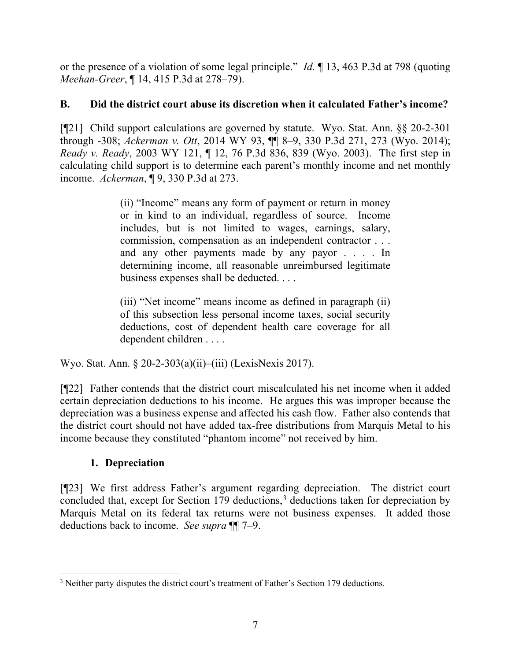or the presence of a violation of some legal principle." *Id.* ¶ 13, 463 P.3d at 798 (quoting *Meehan-Greer*, ¶ 14, 415 P.3d at 278–79).

# **B. Did the district court abuse its discretion when it calculated Father's income?**

[¶21] Child support calculations are governed by statute. Wyo. Stat. Ann. §§ 20-2-301 through -308; *Ackerman v. Ott*, 2014 WY 93, ¶¶ 8–9, 330 P.3d 271, 273 (Wyo. 2014); *Ready v. Ready*, 2003 WY 121, ¶ 12, 76 P.3d 836, 839 (Wyo. 2003). The first step in calculating child support is to determine each parent's monthly income and net monthly income. *Ackerman*, ¶ 9, 330 P.3d at 273.

> (ii) "Income" means any form of payment or return in money or in kind to an individual, regardless of source. Income includes, but is not limited to wages, earnings, salary, commission, compensation as an independent contractor . . . and any other payments made by any payor . . . . In determining income, all reasonable unreimbursed legitimate business expenses shall be deducted. . . .

> (iii) "Net income" means income as defined in paragraph (ii) of this subsection less personal income taxes, social security deductions, cost of dependent health care coverage for all dependent children . . . .

Wyo. Stat. Ann. § 20-2-303(a)(ii)–(iii) (LexisNexis 2017).

[¶22] Father contends that the district court miscalculated his net income when it added certain depreciation deductions to his income. He argues this was improper because the depreciation was a business expense and affected his cash flow. Father also contends that the district court should not have added tax-free distributions from Marquis Metal to his income because they constituted "phantom income" not received by him.

# **1. Depreciation**

[¶23] We first address Father's argument regarding depreciation. The district court concluded that, except for Section 179 deductions,<sup>[3](#page-7-0)</sup> deductions taken for depreciation by Marquis Metal on its federal tax returns were not business expenses. It added those deductions back to income. *See supra* ¶¶ 7–9.

<span id="page-7-0"></span><sup>&</sup>lt;sup>3</sup> Neither party disputes the district court's treatment of Father's Section 179 deductions.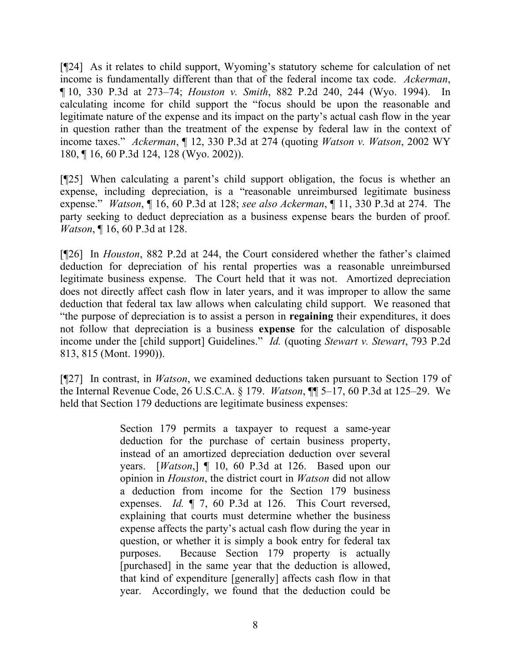[¶24] As it relates to child support, Wyoming's statutory scheme for calculation of net income is fundamentally different than that of the federal income tax code. *Ackerman*, ¶ 10, 330 P.3d at 273–74; *Houston v. Smith*, 882 P.2d 240, 244 (Wyo. 1994). In calculating income for child support the "focus should be upon the reasonable and legitimate nature of the expense and its impact on the party's actual cash flow in the year in question rather than the treatment of the expense by federal law in the context of income taxes." *Ackerman*, ¶ 12, 330 P.3d at 274 (quoting *Watson v. Watson*, 2002 WY 180, ¶ 16, 60 P.3d 124, 128 (Wyo. 2002)).

[¶25] When calculating a parent's child support obligation, the focus is whether an expense, including depreciation, is a "reasonable unreimbursed legitimate business expense." *Watson*, ¶ 16, 60 P.3d at 128; *see also Ackerman*, ¶ 11, 330 P.3d at 274. The party seeking to deduct depreciation as a business expense bears the burden of proof. *Watson*, ¶ 16, 60 P.3d at 128.

[¶26] In *Houston*, 882 P.2d at 244, the Court considered whether the father's claimed deduction for depreciation of his rental properties was a reasonable unreimbursed legitimate business expense. The Court held that it was not. Amortized depreciation does not directly affect cash flow in later years, and it was improper to allow the same deduction that federal tax law allows when calculating child support. We reasoned that "the purpose of depreciation is to assist a person in **regaining** their expenditures, it does not follow that depreciation is a business **expense** for the calculation of disposable income under the [child support] Guidelines." *Id.* (quoting *Stewart v. Stewart*, 793 P.2d 813, 815 (Mont. 1990)).

[¶27] In contrast, in *Watson*, we examined deductions taken pursuant to Section 179 of the Internal Revenue Code, 26 U.S.C.A. § 179. *Watson*, ¶¶ 5–17, 60 P.3d at 125–29. We held that Section 179 deductions are legitimate business expenses:

> Section 179 permits a taxpayer to request a same-year deduction for the purchase of certain business property, instead of an amortized depreciation deduction over several years. [*Watson*,] ¶ 10, 60 P.3d at 126. Based upon our opinion in *Houston*, the district court in *Watson* did not allow a deduction from income for the Section 179 business expenses. *Id.* ¶ 7, 60 P.3d at 126. This Court reversed, explaining that courts must determine whether the business expense affects the party's actual cash flow during the year in question, or whether it is simply a book entry for federal tax purposes. Because Section 179 property is actually [purchased] in the same year that the deduction is allowed, that kind of expenditure [generally] affects cash flow in that year. Accordingly, we found that the deduction could be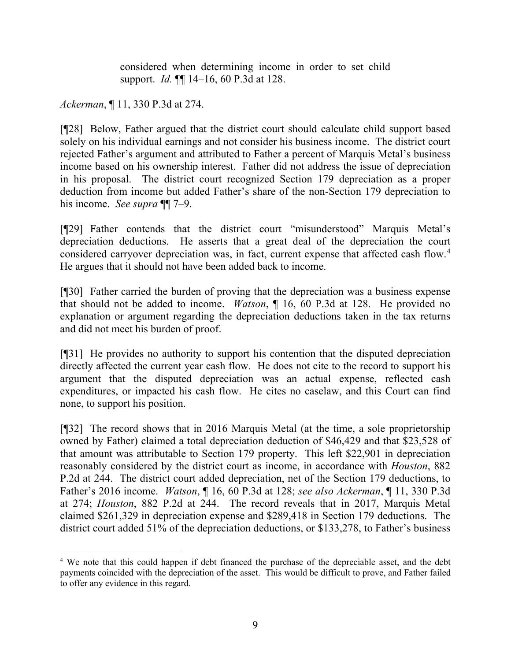considered when determining income in order to set child support. *Id.* ¶¶ 14–16, 60 P.3d at 128.

*Ackerman*, ¶ 11, 330 P.3d at 274.

[¶28] Below, Father argued that the district court should calculate child support based solely on his individual earnings and not consider his business income. The district court rejected Father's argument and attributed to Father a percent of Marquis Metal's business income based on his ownership interest. Father did not address the issue of depreciation in his proposal. The district court recognized Section 179 depreciation as a proper deduction from income but added Father's share of the non-Section 179 depreciation to his income. *See supra* ¶¶ 7–9.

[¶29] Father contends that the district court "misunderstood" Marquis Metal's depreciation deductions. He asserts that a great deal of the depreciation the court considered carryover depreciation was, in fact, current expense that affected cash flow. [4](#page-9-0) He argues that it should not have been added back to income.

[¶30] Father carried the burden of proving that the depreciation was a business expense that should not be added to income. *Watson*, ¶ 16, 60 P.3d at 128. He provided no explanation or argument regarding the depreciation deductions taken in the tax returns and did not meet his burden of proof.

[¶31] He provides no authority to support his contention that the disputed depreciation directly affected the current year cash flow. He does not cite to the record to support his argument that the disputed depreciation was an actual expense, reflected cash expenditures, or impacted his cash flow. He cites no caselaw, and this Court can find none, to support his position.

[¶32] The record shows that in 2016 Marquis Metal (at the time, a sole proprietorship owned by Father) claimed a total depreciation deduction of \$46,429 and that \$23,528 of that amount was attributable to Section 179 property. This left \$22,901 in depreciation reasonably considered by the district court as income, in accordance with *Houston*, 882 P.2d at 244. The district court added depreciation, net of the Section 179 deductions, to Father's 2016 income. *Watson*, ¶ 16, 60 P.3d at 128; *see also Ackerman*, ¶ 11, 330 P.3d at 274; *Houston*, 882 P.2d at 244. The record reveals that in 2017, Marquis Metal claimed \$261,329 in depreciation expense and \$289,418 in Section 179 deductions. The district court added 51% of the depreciation deductions, or \$133,278, to Father's business

<span id="page-9-0"></span><sup>4</sup> We note that this could happen if debt financed the purchase of the depreciable asset, and the debt payments coincided with the depreciation of the asset. This would be difficult to prove, and Father failed to offer any evidence in this regard.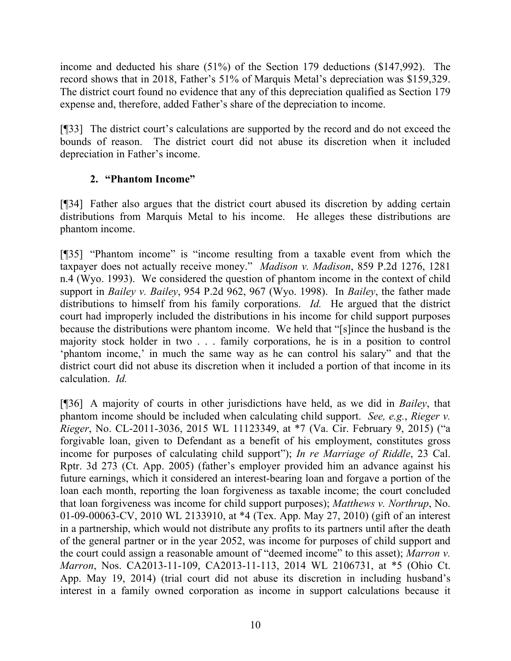income and deducted his share (51%) of the Section 179 deductions (\$147,992). The record shows that in 2018, Father's 51% of Marquis Metal's depreciation was \$159,329. The district court found no evidence that any of this depreciation qualified as Section 179 expense and, therefore, added Father's share of the depreciation to income.

[¶33] The district court's calculations are supported by the record and do not exceed the bounds of reason. The district court did not abuse its discretion when it included depreciation in Father's income.

# **2. "Phantom Income"**

[¶34] Father also argues that the district court abused its discretion by adding certain distributions from Marquis Metal to his income. He alleges these distributions are phantom income.

[¶35] "Phantom income" is "income resulting from a taxable event from which the taxpayer does not actually receive money." *Madison v. Madison*, 859 P.2d 1276, 1281 n.4 (Wyo. 1993). We considered the question of phantom income in the context of child support in *Bailey v. Bailey*, 954 P.2d 962, 967 (Wyo. 1998). In *Bailey*, the father made distributions to himself from his family corporations. *Id.* He argued that the district court had improperly included the distributions in his income for child support purposes because the distributions were phantom income. We held that "[s]ince the husband is the majority stock holder in two . . . family corporations, he is in a position to control 'phantom income,' in much the same way as he can control his salary" and that the district court did not abuse its discretion when it included a portion of that income in its calculation. *Id.*

[¶36] A majority of courts in other jurisdictions have held, as we did in *Bailey*, that phantom income should be included when calculating child support. *See, e.g.*, *Rieger v. Rieger*, No. CL-2011-3036, 2015 WL 11123349, at \*7 (Va. Cir. February 9, 2015) ("a forgivable loan, given to Defendant as a benefit of his employment, constitutes gross income for purposes of calculating child support"); *In re Marriage of Riddle*, 23 Cal. Rptr. 3d 273 (Ct. App. 2005) (father's employer provided him an advance against his future earnings, which it considered an interest-bearing loan and forgave a portion of the loan each month, reporting the loan forgiveness as taxable income; the court concluded that loan forgiveness was income for child support purposes); *Matthews v. Northrup*, No. 01-09-00063-CV, 2010 WL 2133910, at \*4 (Tex. App. May 27, 2010) (gift of an interest in a partnership, which would not distribute any profits to its partners until after the death of the general partner or in the year 2052, was income for purposes of child support and the court could assign a reasonable amount of "deemed income" to this asset); *Marron v. Marron*, Nos. CA2013-11-109, CA2013-11-113, 2014 WL 2106731, at \*5 (Ohio Ct. App. May 19, 2014) (trial court did not abuse its discretion in including husband's interest in a family owned corporation as income in support calculations because it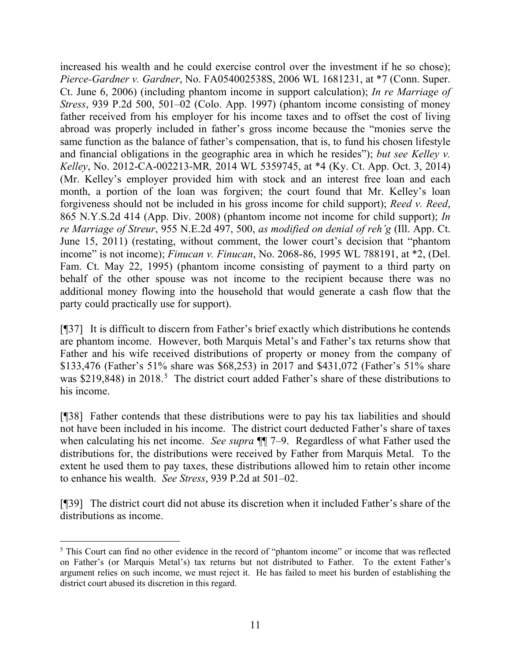increased his wealth and he could exercise control over the investment if he so chose); *Pierce-Gardner v. Gardner*, No. FA054002538S, 2006 WL 1681231, at \*7 (Conn. Super. Ct. June 6, 2006) (including phantom income in support calculation); *In re Marriage of Stress*, 939 P.2d 500, 501–02 (Colo. App. 1997) (phantom income consisting of money father received from his employer for his income taxes and to offset the cost of living abroad was properly included in father's gross income because the "monies serve the same function as the balance of father's compensation, that is, to fund his chosen lifestyle and financial obligations in the geographic area in which he resides"); *but see Kelley v. Kelley*, No. 2012-CA-002213-MR*,* 2014 WL 5359745, at \*4 (Ky. Ct. App. Oct. 3, 2014) (Mr. Kelley's employer provided him with stock and an interest free loan and each month, a portion of the loan was forgiven; the court found that Mr. Kelley's loan forgiveness should not be included in his gross income for child support); *Reed v. Reed*, 865 N.Y.S.2d 414 (App. Div. 2008) (phantom income not income for child support); *In re Marriage of Streur*, 955 N.E.2d 497, 500, *as modified on denial of reh'g* (Ill. App. Ct. June 15, 2011) (restating, without comment, the lower court's decision that "phantom income" is not income); *Finucan v. Finucan*, No. 2068-86, 1995 WL 788191, at \*2, (Del. Fam. Ct. May 22, 1995) (phantom income consisting of payment to a third party on behalf of the other spouse was not income to the recipient because there was no additional money flowing into the household that would generate a cash flow that the party could practically use for support).

[¶37] It is difficult to discern from Father's brief exactly which distributions he contends are phantom income. However, both Marquis Metal's and Father's tax returns show that Father and his wife received distributions of property or money from the company of \$133,476 (Father's 51% share was \$68,253) in 2017 and \$431,072 (Father's 51% share was \$219,848) in 2018.<sup>[5](#page-11-0)</sup> The district court added Father's share of these distributions to his income.

[¶38] Father contends that these distributions were to pay his tax liabilities and should not have been included in his income. The district court deducted Father's share of taxes when calculating his net income. *See supra* ¶¶ 7–9. Regardless of what Father used the distributions for, the distributions were received by Father from Marquis Metal. To the extent he used them to pay taxes, these distributions allowed him to retain other income to enhance his wealth. *See Stress*, 939 P.2d at 501–02.

[¶39] The district court did not abuse its discretion when it included Father's share of the distributions as income.

<span id="page-11-0"></span><sup>&</sup>lt;sup>5</sup> This Court can find no other evidence in the record of "phantom income" or income that was reflected on Father's (or Marquis Metal's) tax returns but not distributed to Father. To the extent Father's argument relies on such income, we must reject it. He has failed to meet his burden of establishing the district court abused its discretion in this regard.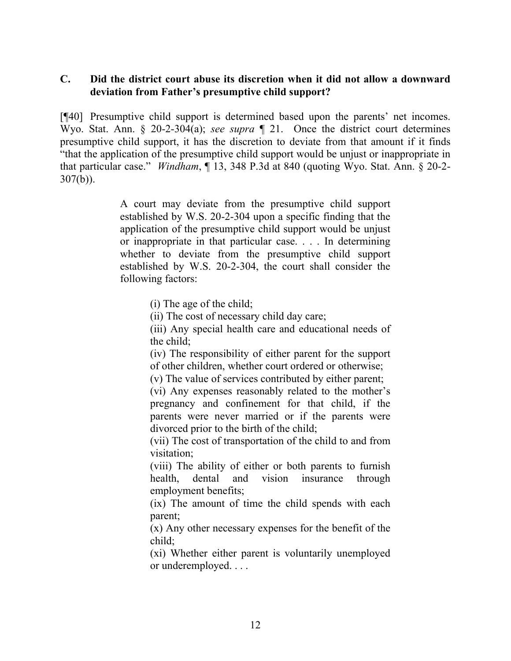### **C. Did the district court abuse its discretion when it did not allow a downward deviation from Father's presumptive child support?**

[¶40] Presumptive child support is determined based upon the parents' net incomes. Wyo. Stat. Ann. § 20-2-304(a); *see supra* ¶ 21. Once the district court determines presumptive child support, it has the discretion to deviate from that amount if it finds "that the application of the presumptive child support would be unjust or inappropriate in that particular case." *Windham*, ¶ 13, 348 P.3d at 840 (quoting Wyo. Stat. Ann. § 20-2- 307(b)).

> A court may deviate from the presumptive child support established by W.S. 20-2-304 upon a specific finding that the application of the presumptive child support would be unjust or inappropriate in that particular case. . . . In determining whether to deviate from the presumptive child support established by W.S. 20-2-304, the court shall consider the following factors:

> > (i) The age of the child;

(ii) The cost of necessary child day care;

(iii) Any special health care and educational needs of the child;

(iv) The responsibility of either parent for the support of other children, whether court ordered or otherwise;

(v) The value of services contributed by either parent;

(vi) Any expenses reasonably related to the mother's pregnancy and confinement for that child, if the parents were never married or if the parents were divorced prior to the birth of the child;

(vii) The cost of transportation of the child to and from visitation;

(viii) The ability of either or both parents to furnish health, dental and vision insurance through employment benefits;

(ix) The amount of time the child spends with each parent;

(x) Any other necessary expenses for the benefit of the child;

(xi) Whether either parent is voluntarily unemployed or underemployed. . . .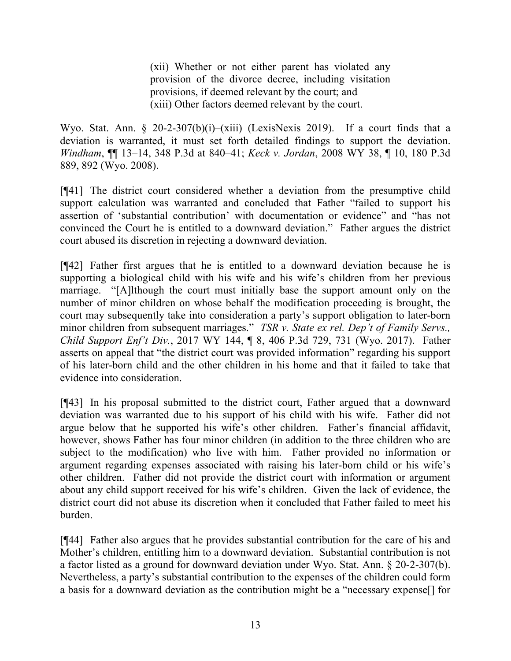(xii) Whether or not either parent has violated any provision of the divorce decree, including visitation provisions, if deemed relevant by the court; and (xiii) Other factors deemed relevant by the court.

Wyo. Stat. Ann. § 20-2-307(b)(i)–(xiii) (LexisNexis 2019). If a court finds that a deviation is warranted, it must set forth detailed findings to support the deviation. *Windham*, ¶¶ 13–14, 348 P.3d at 840–41; *Keck v. Jordan*, 2008 WY 38, ¶ 10, 180 P.3d 889, 892 (Wyo. 2008).

[¶41] The district court considered whether a deviation from the presumptive child support calculation was warranted and concluded that Father "failed to support his assertion of 'substantial contribution' with documentation or evidence" and "has not convinced the Court he is entitled to a downward deviation." Father argues the district court abused its discretion in rejecting a downward deviation.

[¶42] Father first argues that he is entitled to a downward deviation because he is supporting a biological child with his wife and his wife's children from her previous marriage. "[A]lthough the court must initially base the support amount only on the number of minor children on whose behalf the modification proceeding is brought, the court may subsequently take into consideration a party's support obligation to later-born minor children from subsequent marriages." *TSR v. State ex rel. Dep't of Family Servs., Child Support Enf't Div.*, 2017 WY 144, ¶ 8, 406 P.3d 729, 731 (Wyo. 2017). Father asserts on appeal that "the district court was provided information" regarding his support of his later-born child and the other children in his home and that it failed to take that evidence into consideration.

[¶43] In his proposal submitted to the district court, Father argued that a downward deviation was warranted due to his support of his child with his wife. Father did not argue below that he supported his wife's other children. Father's financial affidavit, however, shows Father has four minor children (in addition to the three children who are subject to the modification) who live with him. Father provided no information or argument regarding expenses associated with raising his later-born child or his wife's other children. Father did not provide the district court with information or argument about any child support received for his wife's children. Given the lack of evidence, the district court did not abuse its discretion when it concluded that Father failed to meet his burden.

[¶44] Father also argues that he provides substantial contribution for the care of his and Mother's children, entitling him to a downward deviation. Substantial contribution is not a factor listed as a ground for downward deviation under Wyo. Stat. Ann. § 20-2-307(b). Nevertheless, a party's substantial contribution to the expenses of the children could form a basis for a downward deviation as the contribution might be a "necessary expense[] for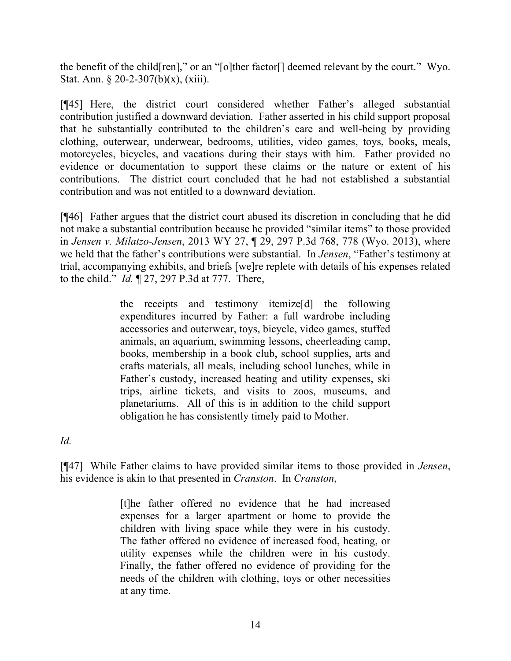the benefit of the child[ren]," or an "[o]ther factor[] deemed relevant by the court." Wyo. Stat. Ann.  $\S 20-2-307(b)(x)$ , (xiii).

[¶45] Here, the district court considered whether Father's alleged substantial contribution justified a downward deviation. Father asserted in his child support proposal that he substantially contributed to the children's care and well-being by providing clothing, outerwear, underwear, bedrooms, utilities, video games, toys, books, meals, motorcycles, bicycles, and vacations during their stays with him. Father provided no evidence or documentation to support these claims or the nature or extent of his contributions. The district court concluded that he had not established a substantial contribution and was not entitled to a downward deviation.

[¶46] Father argues that the district court abused its discretion in concluding that he did not make a substantial contribution because he provided "similar items" to those provided in *Jensen v. Milatzo-Jensen*, 2013 WY 27, ¶ 29, 297 P.3d 768, 778 (Wyo. 2013), where we held that the father's contributions were substantial. In *Jensen*, "Father's testimony at trial, accompanying exhibits, and briefs [we]re replete with details of his expenses related to the child." *Id.* ¶ 27, 297 P.3d at 777. There,

> the receipts and testimony itemize[d] the following expenditures incurred by Father: a full wardrobe including accessories and outerwear, toys, bicycle, video games, stuffed animals, an aquarium, swimming lessons, cheerleading camp, books, membership in a book club, school supplies, arts and crafts materials, all meals, including school lunches, while in Father's custody, increased heating and utility expenses, ski trips, airline tickets, and visits to zoos, museums, and planetariums. All of this is in addition to the child support obligation he has consistently timely paid to Mother.

*Id.*

[¶47] While Father claims to have provided similar items to those provided in *Jensen*, his evidence is akin to that presented in *Cranston*. In *Cranston*,

> [t]he father offered no evidence that he had increased expenses for a larger apartment or home to provide the children with living space while they were in his custody. The father offered no evidence of increased food, heating, or utility expenses while the children were in his custody. Finally, the father offered no evidence of providing for the needs of the children with clothing, toys or other necessities at any time.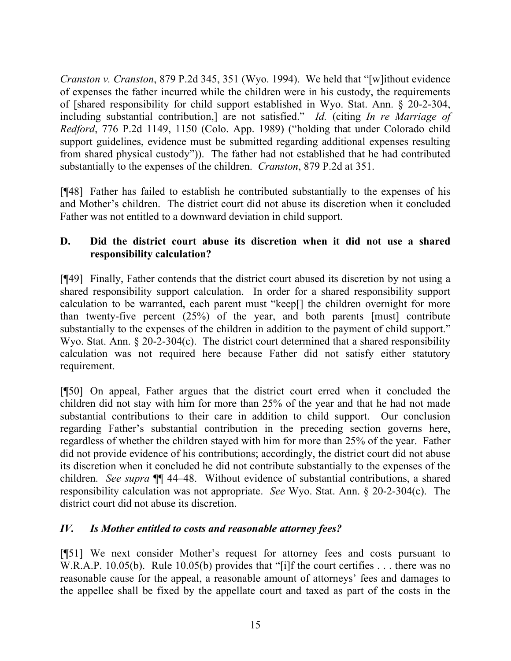*Cranston v. Cranston*, 879 P.2d 345, 351 (Wyo. 1994). We held that "[w]ithout evidence of expenses the father incurred while the children were in his custody, the requirements of [shared responsibility for child support established in Wyo. Stat. Ann. § 20-2-304, including substantial contribution,] are not satisfied." *Id.* (citing *In re Marriage of Redford*, 776 P.2d 1149, 1150 (Colo. App. 1989) ("holding that under Colorado child support guidelines, evidence must be submitted regarding additional expenses resulting from shared physical custody")). The father had not established that he had contributed substantially to the expenses of the children. *Cranston*, 879 P.2d at 351.

[¶48] Father has failed to establish he contributed substantially to the expenses of his and Mother's children. The district court did not abuse its discretion when it concluded Father was not entitled to a downward deviation in child support.

# **D. Did the district court abuse its discretion when it did not use a shared responsibility calculation?**

[¶49] Finally, Father contends that the district court abused its discretion by not using a shared responsibility support calculation. In order for a shared responsibility support calculation to be warranted, each parent must "keep[] the children overnight for more than twenty-five percent (25%) of the year, and both parents [must] contribute substantially to the expenses of the children in addition to the payment of child support." Wyo. Stat. Ann. § 20-2-304(c). The district court determined that a shared responsibility calculation was not required here because Father did not satisfy either statutory requirement.

[¶50] On appeal, Father argues that the district court erred when it concluded the children did not stay with him for more than 25% of the year and that he had not made substantial contributions to their care in addition to child support. Our conclusion regarding Father's substantial contribution in the preceding section governs here, regardless of whether the children stayed with him for more than 25% of the year. Father did not provide evidence of his contributions; accordingly, the district court did not abuse its discretion when it concluded he did not contribute substantially to the expenses of the children. *See supra* ¶¶ 44–48. Without evidence of substantial contributions, a shared responsibility calculation was not appropriate. *See* Wyo. Stat. Ann. § 20-2-304(c). The district court did not abuse its discretion.

# *IV. Is Mother entitled to costs and reasonable attorney fees?*

[¶51] We next consider Mother's request for attorney fees and costs pursuant to W.R.A.P. 10.05(b). Rule 10.05(b) provides that "[i]f the court certifies . . . there was no reasonable cause for the appeal, a reasonable amount of attorneys' fees and damages to the appellee shall be fixed by the appellate court and taxed as part of the costs in the